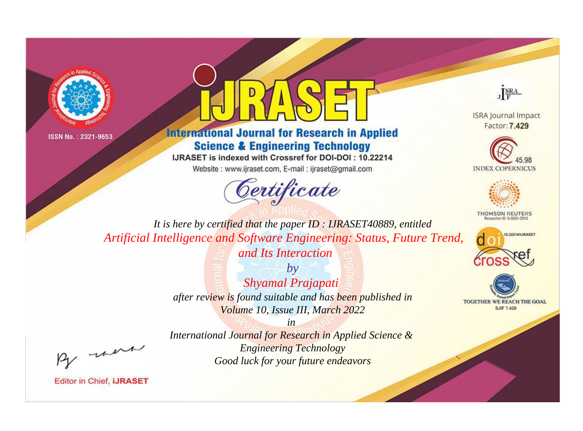



**International Journal for Research in Applied Science & Engineering Technology** 

IJRASET is indexed with Crossref for DOI-DOI: 10.22214

Website: www.ijraset.com, E-mail: ijraset@gmail.com





**ISRA Journal Impact** Factor: 7.429





**THOMSON REUTERS** 



TOGETHER WE REACH THE GOAL **SJIF 7.429** 

*It is here by certified that the paper ID : IJRASET40889, entitled Artificial Intelligence and Software Engineering: Status, Future Trend, and Its Interaction*

> *by Shyamal Prajapati after review is found suitable and has been published in Volume 10, Issue III, March 2022*

, un

*International Journal for Research in Applied Science & Engineering Technology Good luck for your future endeavors*

*in*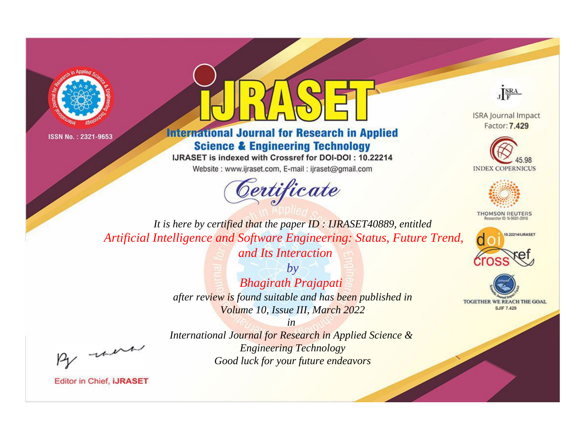



**International Journal for Research in Applied Science & Engineering Technology** 

IJRASET is indexed with Crossref for DOI-DOI: 10.22214

Website: www.ijraset.com, E-mail: ijraset@gmail.com





**ISRA Journal Impact** Factor: 7.429





**THOMSON REUTERS** 



TOGETHER WE REACH THE GOAL **SJIF 7.429** 

*It is here by certified that the paper ID : IJRASET40889, entitled Artificial Intelligence and Software Engineering: Status, Future Trend, and Its Interaction*

> *by Bhagirath Prajapati after review is found suitable and has been published in Volume 10, Issue III, March 2022*

> *in International Journal for Research in Applied Science & Engineering Technology Good luck for your future endeavors*

, un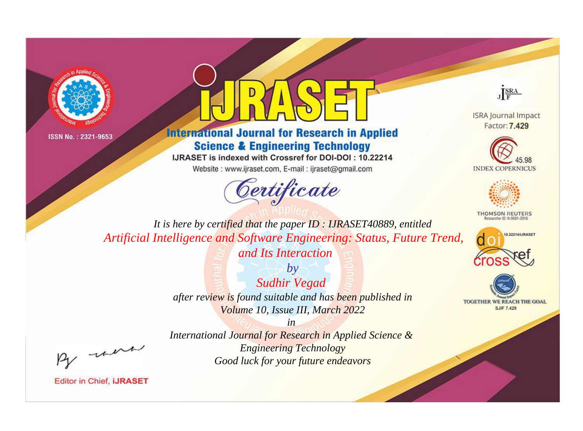



## **International Journal for Research in Applied Science & Engineering Technology**

IJRASET is indexed with Crossref for DOI-DOI: 10.22214

Website: www.ijraset.com, E-mail: ijraset@gmail.com





**ISRA Journal Impact** Factor: 7.429





**THOMSON REUTERS** 



TOGETHER WE REACH THE GOAL **SJIF 7.429** 

*It is here by certified that the paper ID : IJRASET40889, entitled Artificial Intelligence and Software Engineering: Status, Future Trend, and Its Interaction*

> *by Sudhir Vegad after review is found suitable and has been published in Volume 10, Issue III, March 2022*

> > *in*

, un

*International Journal for Research in Applied Science & Engineering Technology Good luck for your future endeavors*